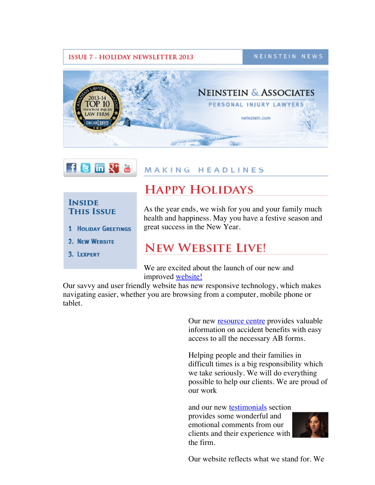#### **ISSUE 7 - HOLIDAY NEWSLETTER 2013**

NEINSTEIN NEWS





## **MAKING HEADLINES**

### **INSIDE THIS ISSUE**

- **1 HOLIDAY GREETINGS**
- 2. NEW WEBSITE
- 3. LEXPERT

# **HAPPY HOLIDAYS**

As the year ends, we wish for you and your family much health and happiness. May you have a festive season and great success in the New Year.

# **NEW WEBSITE LIVE!**

We are excited about the launch of our new and improved [website!](http://r20.rs6.net/tn.jsp?e=001UHYLe8pn8yYI4qyp2ru0mHnx94575XwrRVCoMfCHSt2UwNOUg3Dvh4R0QzZ_APhI10H13ar5pCIK30c41NugE3W2pyHntWVd93dbazRO4oo=)

Our savvy and user friendly website has new responsive technology, which makes navigating easier, whether you are browsing from a computer, mobile phone or tablet.

> Our new [resource](http://r20.rs6.net/tn.jsp?e=001UHYLe8pn8yYI4qyp2ru0mHnx94575XwrRVCoMfCHSt2UwNOUg3Dvh4R0QzZ_APhI10H13ar5pCIK30c41NugE3W2pyHntWVdhiz5eUIEO3fUgPc3UUGbTcGayetFAmrW) centre provides valuable information on accident benefits with easy access to all the necessary AB forms.

Helping people and their families in difficult times is a big responsibility which we take seriously. We will do everything possible to help our clients. We are proud of our work

and our new **[testimonials](http://r20.rs6.net/tn.jsp?e=001UHYLe8pn8yYI4qyp2ru0mHnx94575XwrRVCoMfCHSt2UwNOUg3Dvh4R0QzZ_APhI10H13ar5pCIK30c41NugE3W2pyHntWVdCxbgsu1qGhe5YPvttcL-E-NCP45mU225)** section provides some wonderful and emotional comments from our clients and their experience with the firm.



Our website reflects what we stand for. We